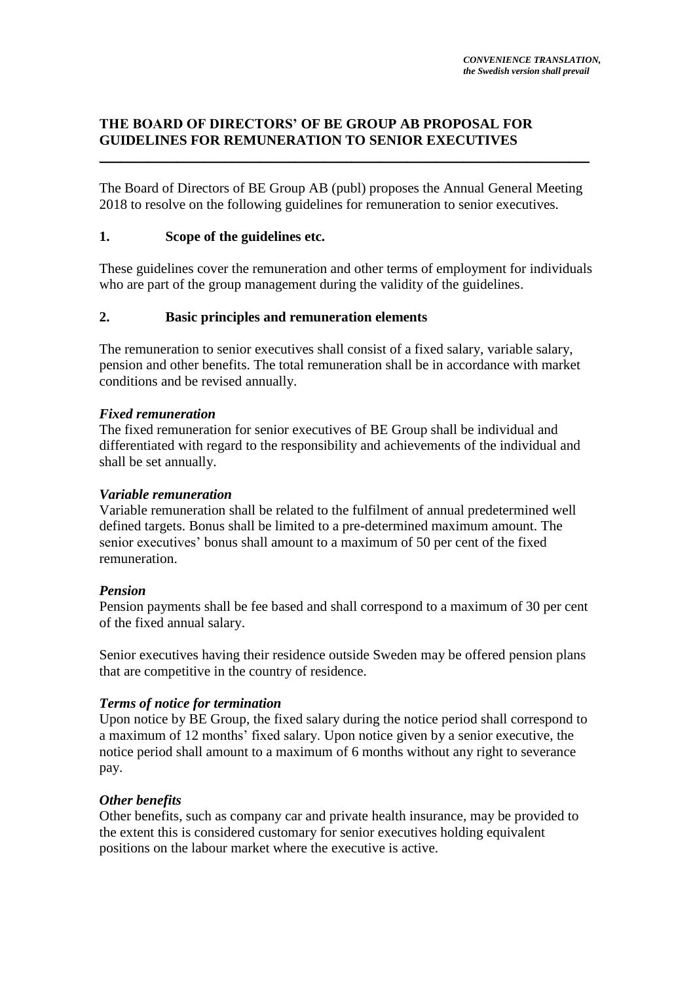# **THE BOARD OF DIRECTORS' OF BE GROUP AB PROPOSAL FOR GUIDELINES FOR REMUNERATION TO SENIOR EXECUTIVES** \_\_\_\_\_\_\_\_\_\_\_\_\_\_\_\_\_\_\_\_\_\_\_\_\_\_\_\_\_\_\_\_\_\_\_\_\_\_\_\_\_\_\_\_\_\_\_\_\_\_\_\_\_\_\_\_\_\_\_\_\_\_\_\_\_\_\_\_\_\_

The Board of Directors of BE Group AB (publ) proposes the Annual General Meeting 2018 to resolve on the following guidelines for remuneration to senior executives.

# **1. Scope of the guidelines etc.**

These guidelines cover the remuneration and other terms of employment for individuals who are part of the group management during the validity of the guidelines.

# **2. Basic principles and remuneration elements**

The remuneration to senior executives shall consist of a fixed salary, variable salary, pension and other benefits. The total remuneration shall be in accordance with market conditions and be revised annually.

## *Fixed remuneration*

The fixed remuneration for senior executives of BE Group shall be individual and differentiated with regard to the responsibility and achievements of the individual and shall be set annually.

#### *Variable remuneration*

Variable remuneration shall be related to the fulfilment of annual predetermined well defined targets. Bonus shall be limited to a pre-determined maximum amount. The senior executives' bonus shall amount to a maximum of 50 per cent of the fixed remuneration.

## *Pension*

Pension payments shall be fee based and shall correspond to a maximum of 30 per cent of the fixed annual salary.

Senior executives having their residence outside Sweden may be offered pension plans that are competitive in the country of residence.

## *Terms of notice for termination*

Upon notice by BE Group, the fixed salary during the notice period shall correspond to a maximum of 12 months' fixed salary. Upon notice given by a senior executive, the notice period shall amount to a maximum of 6 months without any right to severance pay.

## *Other benefits*

Other benefits, such as company car and private health insurance, may be provided to the extent this is considered customary for senior executives holding equivalent positions on the labour market where the executive is active.